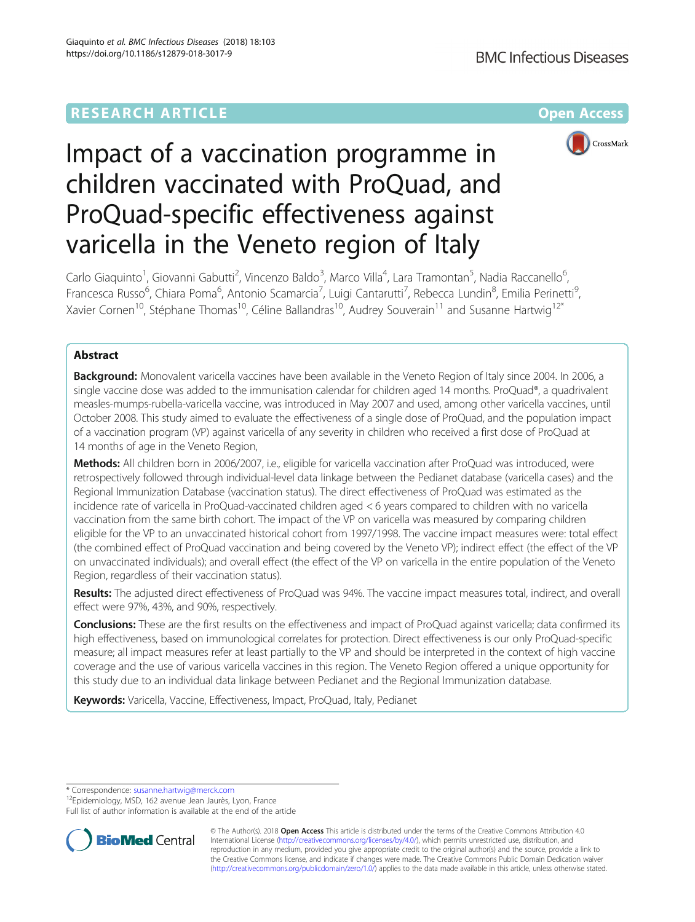## **RESEARCH ARTICLE Example 2014 12:30 The Contract of Contract Article 2014 12:30 The Open Access**



# Impact of a vaccination programme in children vaccinated with ProQuad, and ProQuad-specific effectiveness against varicella in the Veneto region of Italy

Carlo Giaquinto<sup>1</sup>, Giovanni Gabutti<sup>2</sup>, Vincenzo Baldo<sup>3</sup>, Marco Villa<sup>4</sup>, Lara Tramontan<sup>5</sup>, Nadia Raccanello<sup>6</sup> , Francesca Russo<sup>6</sup>, Chiara Poma<sup>6</sup>, Antonio Scamarcia<sup>7</sup>, Luigi Cantarutti<sup>7</sup>, Rebecca Lundin<sup>8</sup>, Emilia Perinetti<sup>s</sup> , Xavier Cornen<sup>10</sup>, Stéphane Thomas<sup>10</sup>, Céline Ballandras<sup>10</sup>, Audrey Souverain<sup>11</sup> and Susanne Hartwig<sup>12\*</sup>

### Abstract

Background: Monovalent varicella vaccines have been available in the Veneto Region of Italy since 2004. In 2006, a single vaccine dose was added to the immunisation calendar for children aged 14 months. ProQuad®, a quadrivalent measles-mumps-rubella-varicella vaccine, was introduced in May 2007 and used, among other varicella vaccines, until October 2008. This study aimed to evaluate the effectiveness of a single dose of ProQuad, and the population impact of a vaccination program (VP) against varicella of any severity in children who received a first dose of ProQuad at 14 months of age in the Veneto Region,

Methods: All children born in 2006/2007, i.e., eligible for varicella vaccination after ProQuad was introduced, were retrospectively followed through individual-level data linkage between the Pedianet database (varicella cases) and the Regional Immunization Database (vaccination status). The direct effectiveness of ProQuad was estimated as the incidence rate of varicella in ProQuad-vaccinated children aged < 6 years compared to children with no varicella vaccination from the same birth cohort. The impact of the VP on varicella was measured by comparing children eligible for the VP to an unvaccinated historical cohort from 1997/1998. The vaccine impact measures were: total effect (the combined effect of ProQuad vaccination and being covered by the Veneto VP); indirect effect (the effect of the VP on unvaccinated individuals); and overall effect (the effect of the VP on varicella in the entire population of the Veneto Region, regardless of their vaccination status).

Results: The adjusted direct effectiveness of ProQuad was 94%. The vaccine impact measures total, indirect, and overall effect were 97%, 43%, and 90%, respectively.

Conclusions: These are the first results on the effectiveness and impact of ProQuad against varicella; data confirmed its high effectiveness, based on immunological correlates for protection. Direct effectiveness is our only ProQuad-specific measure; all impact measures refer at least partially to the VP and should be interpreted in the context of high vaccine coverage and the use of various varicella vaccines in this region. The Veneto Region offered a unique opportunity for this study due to an individual data linkage between Pedianet and the Regional Immunization database.

Keywords: Varicella, Vaccine, Effectiveness, Impact, ProQuad, Italy, Pedianet

\* Correspondence: [susanne.hartwig@merck.com](mailto:susanne.hartwig@merck.com) 12Epidemiology, MSD, 162 avenue Jean Jaurès, Lyon, France Full list of author information is available at the end of the article

**BioMed Central** 

© The Author(s). 2018 Open Access This article is distributed under the terms of the Creative Commons Attribution 4.0 International License [\(http://creativecommons.org/licenses/by/4.0/](http://creativecommons.org/licenses/by/4.0/)), which permits unrestricted use, distribution, and reproduction in any medium, provided you give appropriate credit to the original author(s) and the source, provide a link to the Creative Commons license, and indicate if changes were made. The Creative Commons Public Domain Dedication waiver [\(http://creativecommons.org/publicdomain/zero/1.0/](http://creativecommons.org/publicdomain/zero/1.0/)) applies to the data made available in this article, unless otherwise stated.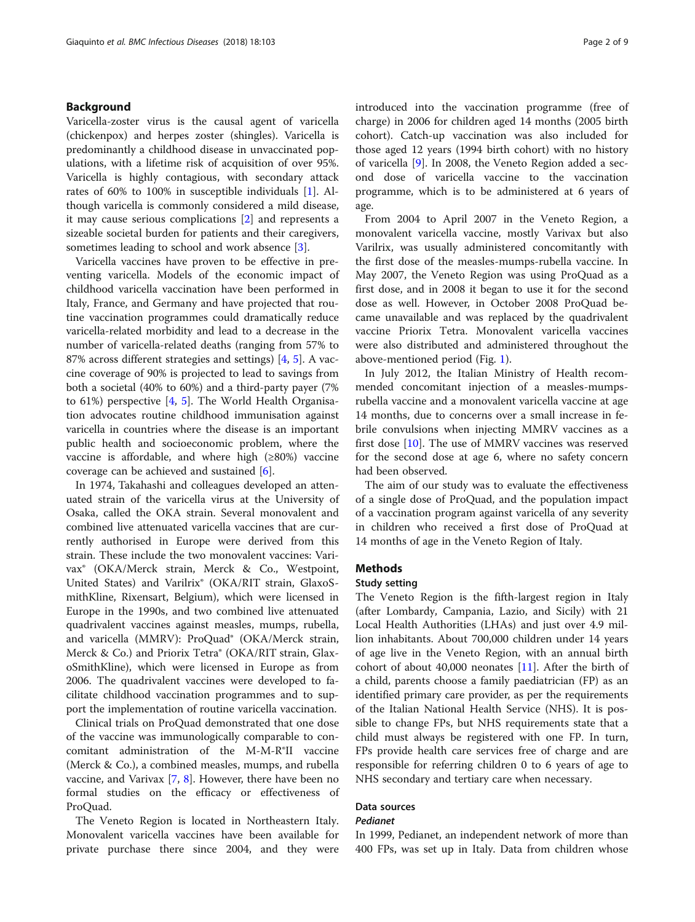#### Background

Varicella-zoster virus is the causal agent of varicella (chickenpox) and herpes zoster (shingles). Varicella is predominantly a childhood disease in unvaccinated populations, with a lifetime risk of acquisition of over 95%. Varicella is highly contagious, with secondary attack rates of 60% to 100% in susceptible individuals [\[1](#page-8-0)]. Although varicella is commonly considered a mild disease, it may cause serious complications [[2](#page-8-0)] and represents a sizeable societal burden for patients and their caregivers, sometimes leading to school and work absence [\[3](#page-8-0)].

Varicella vaccines have proven to be effective in preventing varicella. Models of the economic impact of childhood varicella vaccination have been performed in Italy, France, and Germany and have projected that routine vaccination programmes could dramatically reduce varicella-related morbidity and lead to a decrease in the number of varicella-related deaths (ranging from 57% to 87% across different strategies and settings) [\[4](#page-8-0), [5](#page-8-0)]. A vaccine coverage of 90% is projected to lead to savings from both a societal (40% to 60%) and a third-party payer (7% to 61%) perspective  $[4, 5]$  $[4, 5]$  $[4, 5]$  $[4, 5]$  $[4, 5]$ . The World Health Organisation advocates routine childhood immunisation against varicella in countries where the disease is an important public health and socioeconomic problem, where the vaccine is affordable, and where high (≥80%) vaccine coverage can be achieved and sustained [\[6](#page-8-0)].

In 1974, Takahashi and colleagues developed an attenuated strain of the varicella virus at the University of Osaka, called the OKA strain. Several monovalent and combined live attenuated varicella vaccines that are currently authorised in Europe were derived from this strain. These include the two monovalent vaccines: Varivax® (OKA/Merck strain, Merck & Co., Westpoint, United States) and Varilrix® (OKA/RIT strain, GlaxoSmithKline, Rixensart, Belgium), which were licensed in Europe in the 1990s, and two combined live attenuated quadrivalent vaccines against measles, mumps, rubella, and varicella (MMRV): ProQuad® (OKA/Merck strain, Merck & Co.) and Priorix Tetra® (OKA/RIT strain, GlaxoSmithKline), which were licensed in Europe as from 2006. The quadrivalent vaccines were developed to facilitate childhood vaccination programmes and to support the implementation of routine varicella vaccination.

Clinical trials on ProQuad demonstrated that one dose of the vaccine was immunologically comparable to concomitant administration of the M-M-R®II vaccine (Merck & Co.), a combined measles, mumps, and rubella vaccine, and Varivax [\[7,](#page-8-0) [8](#page-8-0)]. However, there have been no formal studies on the efficacy or effectiveness of ProQuad.

The Veneto Region is located in Northeastern Italy. Monovalent varicella vaccines have been available for private purchase there since 2004, and they were introduced into the vaccination programme (free of charge) in 2006 for children aged 14 months (2005 birth cohort). Catch-up vaccination was also included for those aged 12 years (1994 birth cohort) with no history of varicella [\[9](#page-8-0)]. In 2008, the Veneto Region added a second dose of varicella vaccine to the vaccination programme, which is to be administered at 6 years of age.

From 2004 to April 2007 in the Veneto Region, a monovalent varicella vaccine, mostly Varivax but also Varilrix, was usually administered concomitantly with the first dose of the measles-mumps-rubella vaccine. In May 2007, the Veneto Region was using ProQuad as a first dose, and in 2008 it began to use it for the second dose as well. However, in October 2008 ProQuad became unavailable and was replaced by the quadrivalent vaccine Priorix Tetra. Monovalent varicella vaccines were also distributed and administered throughout the above-mentioned period (Fig. [1](#page-2-0)).

In July 2012, the Italian Ministry of Health recommended concomitant injection of a measles-mumpsrubella vaccine and a monovalent varicella vaccine at age 14 months, due to concerns over a small increase in febrile convulsions when injecting MMRV vaccines as a first dose [[10\]](#page-8-0). The use of MMRV vaccines was reserved for the second dose at age 6, where no safety concern had been observed.

The aim of our study was to evaluate the effectiveness of a single dose of ProQuad, and the population impact of a vaccination program against varicella of any severity in children who received a first dose of ProQuad at 14 months of age in the Veneto Region of Italy.

#### **Methods**

#### Study setting

The Veneto Region is the fifth-largest region in Italy (after Lombardy, Campania, Lazio, and Sicily) with 21 Local Health Authorities (LHAs) and just over 4.9 million inhabitants. About 700,000 children under 14 years of age live in the Veneto Region, with an annual birth cohort of about 40,000 neonates [[11\]](#page-8-0). After the birth of a child, parents choose a family paediatrician (FP) as an identified primary care provider, as per the requirements of the Italian National Health Service (NHS). It is possible to change FPs, but NHS requirements state that a child must always be registered with one FP. In turn, FPs provide health care services free of charge and are responsible for referring children 0 to 6 years of age to NHS secondary and tertiary care when necessary.

#### Data sources

#### Pedianet

In 1999, Pedianet, an independent network of more than 400 FPs, was set up in Italy. Data from children whose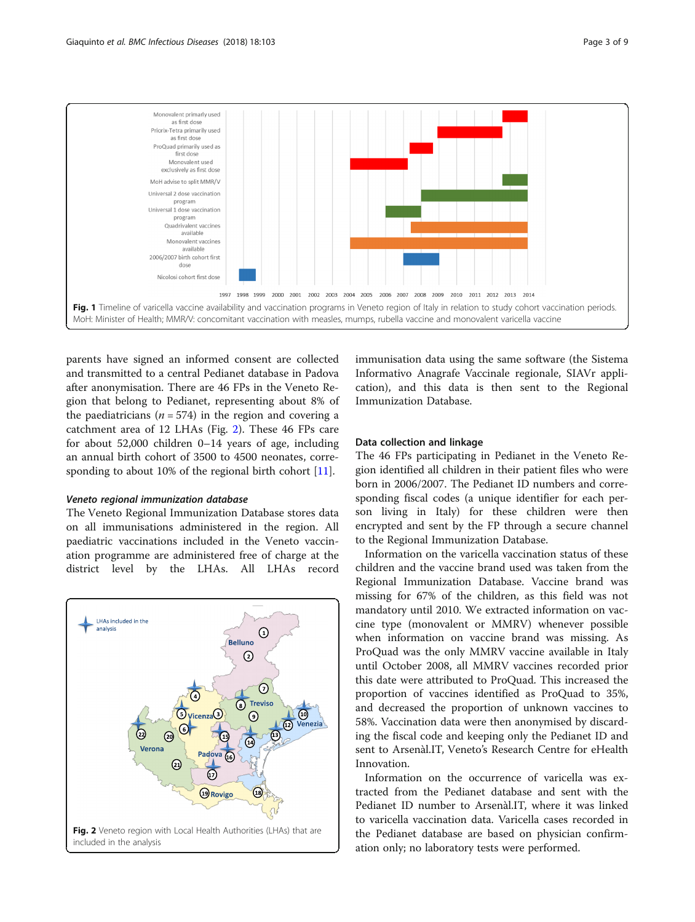<span id="page-2-0"></span>

parents have signed an informed consent are collected and transmitted to a central Pedianet database in Padova after anonymisation. There are 46 FPs in the Veneto Region that belong to Pedianet, representing about 8% of the paediatricians ( $n = 574$ ) in the region and covering a catchment area of 12 LHAs (Fig. 2). These 46 FPs care for about 52,000 children 0–14 years of age, including an annual birth cohort of 3500 to 4500 neonates, corresponding to about 10% of the regional birth cohort [\[11\]](#page-8-0).

#### Veneto regional immunization database

The Veneto Regional Immunization Database stores data on all immunisations administered in the region. All paediatric vaccinations included in the Veneto vaccination programme are administered free of charge at the district level by the LHAs. All LHAs record



immunisation data using the same software (the Sistema Informativo Anagrafe Vaccinale regionale, SIAVr application), and this data is then sent to the Regional Immunization Database.

#### Data collection and linkage

The 46 FPs participating in Pedianet in the Veneto Region identified all children in their patient files who were born in 2006/2007. The Pedianet ID numbers and corresponding fiscal codes (a unique identifier for each person living in Italy) for these children were then encrypted and sent by the FP through a secure channel to the Regional Immunization Database.

Information on the varicella vaccination status of these children and the vaccine brand used was taken from the Regional Immunization Database. Vaccine brand was missing for 67% of the children, as this field was not mandatory until 2010. We extracted information on vaccine type (monovalent or MMRV) whenever possible when information on vaccine brand was missing. As ProQuad was the only MMRV vaccine available in Italy until October 2008, all MMRV vaccines recorded prior this date were attributed to ProQuad. This increased the proportion of vaccines identified as ProQuad to 35%, and decreased the proportion of unknown vaccines to 58%. Vaccination data were then anonymised by discarding the fiscal code and keeping only the Pedianet ID and sent to Arsenàl.IT, Veneto's Research Centre for eHealth Innovation.

Information on the occurrence of varicella was extracted from the Pedianet database and sent with the Pedianet ID number to Arsenàl.IT, where it was linked to varicella vaccination data. Varicella cases recorded in the Pedianet database are based on physician confirmation only; no laboratory tests were performed.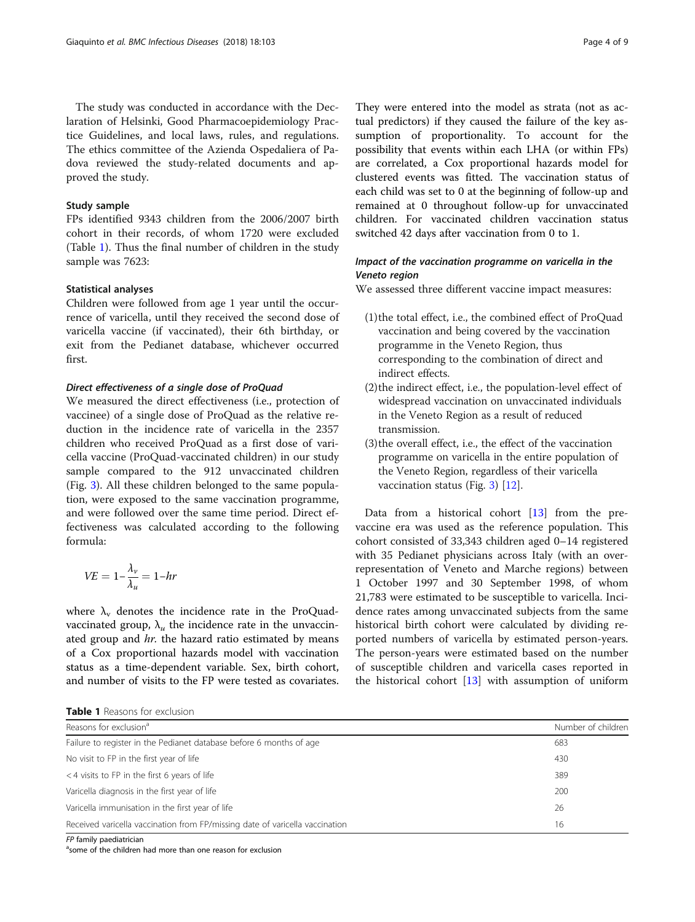#### Study sample

FPs identified 9343 children from the 2006/2007 birth cohort in their records, of whom 1720 were excluded (Table 1). Thus the final number of children in the study sample was 7623:

#### Statistical analyses

Children were followed from age 1 year until the occurrence of varicella, until they received the second dose of varicella vaccine (if vaccinated), their 6th birthday, or exit from the Pedianet database, whichever occurred first.

#### Direct effectiveness of a single dose of ProQuad

We measured the direct effectiveness (i.e., protection of vaccinee) of a single dose of ProQuad as the relative reduction in the incidence rate of varicella in the 2357 children who received ProQuad as a first dose of varicella vaccine (ProQuad-vaccinated children) in our study sample compared to the 912 unvaccinated children (Fig. [3](#page-4-0)). All these children belonged to the same population, were exposed to the same vaccination programme, and were followed over the same time period. Direct effectiveness was calculated according to the following formula:

$$
VE = 1 - \frac{\lambda_v}{\lambda_u} = 1 - hr
$$

Table 1 Reasons for exclusion

where  $\lambda_{\rm v}$  denotes the incidence rate in the ProQuadvaccinated group,  $\lambda_{\mu}$  the incidence rate in the unvaccinated group and hr. the hazard ratio estimated by means of a Cox proportional hazards model with vaccination status as a time-dependent variable. Sex, birth cohort, and number of visits to the FP were tested as covariates.

They were entered into the model as strata (not as actual predictors) if they caused the failure of the key assumption of proportionality. To account for the possibility that events within each LHA (or within FPs) are correlated, a Cox proportional hazards model for clustered events was fitted. The vaccination status of each child was set to 0 at the beginning of follow-up and remained at 0 throughout follow-up for unvaccinated children. For vaccinated children vaccination status

#### Impact of the vaccination programme on varicella in the Veneto region

switched 42 days after vaccination from 0 to 1.

We assessed three different vaccine impact measures:

- (1)the total effect, i.e., the combined effect of ProQuad vaccination and being covered by the vaccination programme in the Veneto Region, thus corresponding to the combination of direct and indirect effects.
- (2)the indirect effect, i.e., the population-level effect of widespread vaccination on unvaccinated individuals in the Veneto Region as a result of reduced transmission.
- (3)the overall effect, i.e., the effect of the vaccination programme on varicella in the entire population of the Veneto Region, regardless of their varicella vaccination status (Fig. [3](#page-4-0)) [\[12](#page-8-0)].

Data from a historical cohort [\[13](#page-8-0)] from the prevaccine era was used as the reference population. This cohort consisted of 33,343 children aged 0–14 registered with 35 Pedianet physicians across Italy (with an overrepresentation of Veneto and Marche regions) between 1 October 1997 and 30 September 1998, of whom 21,783 were estimated to be susceptible to varicella. Incidence rates among unvaccinated subjects from the same historical birth cohort were calculated by dividing reported numbers of varicella by estimated person-years. The person-years were estimated based on the number of susceptible children and varicella cases reported in the historical cohort [[13\]](#page-8-0) with assumption of uniform

| Reasons for exclusion <sup>a</sup>                                           | Number of children |  |
|------------------------------------------------------------------------------|--------------------|--|
| Failure to register in the Pedianet database before 6 months of age          | 683                |  |
| No visit to FP in the first year of life                                     | 430                |  |
| $<$ 4 visits to FP in the first 6 years of life                              | 389                |  |
| Varicella diagnosis in the first year of life                                | 200                |  |
| Varicella immunisation in the first year of life                             | 26                 |  |
| Received varicella vaccination from FP/missing date of varicella vaccination |                    |  |

 $FP$  family paediatrician

<sup>a</sup>some of the children had more than one reason for exclusion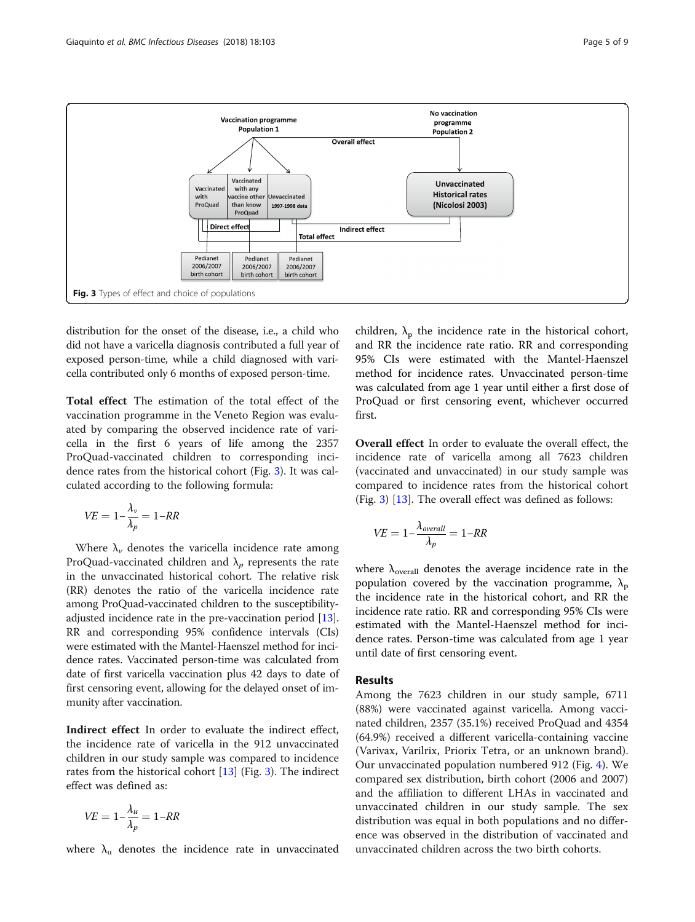<span id="page-4-0"></span>

distribution for the onset of the disease, i.e., a child who did not have a varicella diagnosis contributed a full year of exposed person-time, while a child diagnosed with varicella contributed only 6 months of exposed person-time.

Total effect The estimation of the total effect of the vaccination programme in the Veneto Region was evaluated by comparing the observed incidence rate of varicella in the first 6 years of life among the 2357 ProQuad-vaccinated children to corresponding incidence rates from the historical cohort (Fig. 3). It was calculated according to the following formula:

$$
VE = 1 - \frac{\lambda_v}{\lambda_p} = 1 - RR
$$

Where  $\lambda_{\nu}$  denotes the varicella incidence rate among ProQuad-vaccinated children and  $\lambda_p$  represents the rate in the unvaccinated historical cohort. The relative risk (RR) denotes the ratio of the varicella incidence rate among ProQuad-vaccinated children to the susceptibilityadjusted incidence rate in the pre-vaccination period [[13](#page-8-0)]. RR and corresponding 95% confidence intervals (CIs) were estimated with the Mantel-Haenszel method for incidence rates. Vaccinated person-time was calculated from date of first varicella vaccination plus 42 days to date of first censoring event, allowing for the delayed onset of immunity after vaccination.

Indirect effect In order to evaluate the indirect effect, the incidence rate of varicella in the 912 unvaccinated children in our study sample was compared to incidence rates from the historical cohort [[13](#page-8-0)] (Fig. 3). The indirect effect was defined as:

$$
VE = 1 - \frac{\lambda_u}{\lambda_p} = 1 - RR
$$

where  $\lambda_{\rm u}$  denotes the incidence rate in unvaccinated

children,  $\lambda_{\rm n}$  the incidence rate in the historical cohort, and RR the incidence rate ratio. RR and corresponding 95% CIs were estimated with the Mantel-Haenszel method for incidence rates. Unvaccinated person-time was calculated from age 1 year until either a first dose of ProQuad or first censoring event, whichever occurred first.

Overall effect In order to evaluate the overall effect, the incidence rate of varicella among all 7623 children (vaccinated and unvaccinated) in our study sample was compared to incidence rates from the historical cohort (Fig. 3) [[13](#page-8-0)]. The overall effect was defined as follows:

$$
VE = 1 - \frac{\lambda_{overall}}{\lambda_p} = 1 - RR
$$

where  $\lambda_{\text{overall}}$  denotes the average incidence rate in the population covered by the vaccination programme,  $\lambda_{p}$ the incidence rate in the historical cohort, and RR the incidence rate ratio. RR and corresponding 95% CIs were estimated with the Mantel-Haenszel method for incidence rates. Person-time was calculated from age 1 year until date of first censoring event.

#### Results

Among the 7623 children in our study sample, 6711 (88%) were vaccinated against varicella. Among vaccinated children, 2357 (35.1%) received ProQuad and 4354 (64.9%) received a different varicella-containing vaccine (Varivax, Varilrix, Priorix Tetra, or an unknown brand). Our unvaccinated population numbered 912 (Fig. [4\)](#page-5-0). We compared sex distribution, birth cohort (2006 and 2007) and the affiliation to different LHAs in vaccinated and unvaccinated children in our study sample. The sex distribution was equal in both populations and no difference was observed in the distribution of vaccinated and unvaccinated children across the two birth cohorts.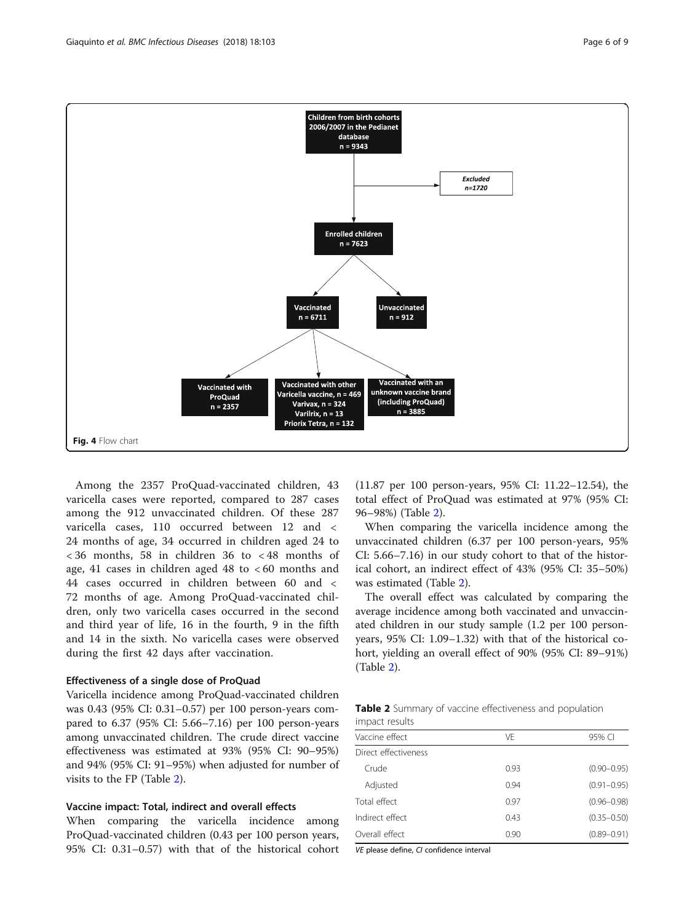Among the 2357 ProQuad-vaccinated children, 43 varicella cases were reported, compared to 287 cases among the 912 unvaccinated children. Of these 287 varicella cases, 110 occurred between 12 and < 24 months of age, 34 occurred in children aged 24 to < 36 months, 58 in children 36 to < 48 months of age, 41 cases in children aged 48 to  $< 60$  months and 44 cases occurred in children between 60 and < 72 months of age. Among ProQuad-vaccinated children, only two varicella cases occurred in the second and third year of life, 16 in the fourth, 9 in the fifth and 14 in the sixth. No varicella cases were observed during the first 42 days after vaccination.

#### Effectiveness of a single dose of ProQuad

Varicella incidence among ProQuad-vaccinated children was 0.43 (95% CI: 0.31–0.57) per 100 person-years compared to 6.37 (95% CI: 5.66–7.16) per 100 person-years among unvaccinated children. The crude direct vaccine effectiveness was estimated at 93% (95% CI: 90–95%) and 94% (95% CI: 91–95%) when adjusted for number of visits to the FP (Table 2).

#### Vaccine impact: Total, indirect and overall effects

When comparing the varicella incidence among ProQuad-vaccinated children (0.43 per 100 person years, 95% CI: 0.31–0.57) with that of the historical cohort (11.87 per 100 person-years, 95% CI: 11.22–12.54), the total effect of ProQuad was estimated at 97% (95% CI: 96–98%) (Table 2).

When comparing the varicella incidence among the unvaccinated children (6.37 per 100 person-years, 95% CI: 5.66–7.16) in our study cohort to that of the historical cohort, an indirect effect of 43% (95% CI: 35–50%) was estimated (Table 2).

The overall effect was calculated by comparing the average incidence among both vaccinated and unvaccinated children in our study sample (1.2 per 100 personyears, 95% CI: 1.09–1.32) with that of the historical cohort, yielding an overall effect of 90% (95% CI: 89–91%) (Table 2).

| Table 2 Summary of vaccine effectiveness and population |  |  |
|---------------------------------------------------------|--|--|
| impact results                                          |  |  |

| Vaccine effect       | VF   | 95% CI          |
|----------------------|------|-----------------|
| Direct effectiveness |      |                 |
| Crude                | 0.93 | $(0.90 - 0.95)$ |
| Adjusted             | 0.94 | $(0.91 - 0.95)$ |
| Total effect         | 0.97 | $(0.96 - 0.98)$ |
| Indirect effect      | 0.43 | $(0.35 - 0.50)$ |
| Overall effect       | 0.90 | $(0.89 - 0.91)$ |

VE please define, CI confidence interval

<span id="page-5-0"></span>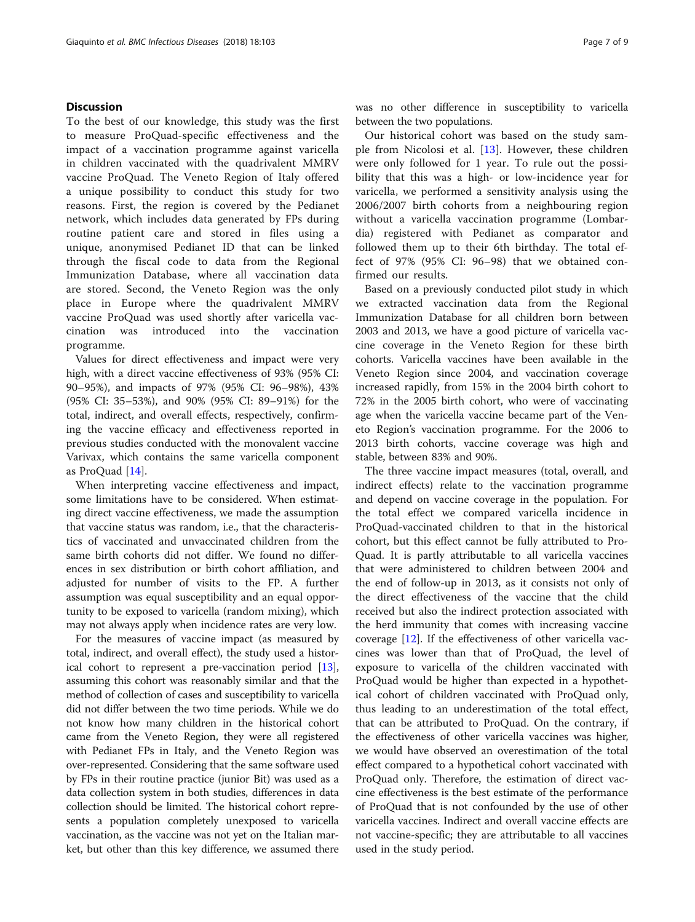#### **Discussion**

To the best of our knowledge, this study was the first to measure ProQuad-specific effectiveness and the impact of a vaccination programme against varicella in children vaccinated with the quadrivalent MMRV vaccine ProQuad. The Veneto Region of Italy offered a unique possibility to conduct this study for two reasons. First, the region is covered by the Pedianet network, which includes data generated by FPs during routine patient care and stored in files using a unique, anonymised Pedianet ID that can be linked through the fiscal code to data from the Regional Immunization Database, where all vaccination data are stored. Second, the Veneto Region was the only place in Europe where the quadrivalent MMRV vaccine ProQuad was used shortly after varicella vaccination was introduced into the vaccination programme.

Values for direct effectiveness and impact were very high, with a direct vaccine effectiveness of 93% (95% CI: 90–95%), and impacts of 97% (95% CI: 96–98%), 43% (95% CI: 35–53%), and 90% (95% CI: 89–91%) for the total, indirect, and overall effects, respectively, confirming the vaccine efficacy and effectiveness reported in previous studies conducted with the monovalent vaccine Varivax, which contains the same varicella component as ProQuad [[14\]](#page-8-0).

When interpreting vaccine effectiveness and impact, some limitations have to be considered. When estimating direct vaccine effectiveness, we made the assumption that vaccine status was random, i.e., that the characteristics of vaccinated and unvaccinated children from the same birth cohorts did not differ. We found no differences in sex distribution or birth cohort affiliation, and adjusted for number of visits to the FP. A further assumption was equal susceptibility and an equal opportunity to be exposed to varicella (random mixing), which may not always apply when incidence rates are very low.

For the measures of vaccine impact (as measured by total, indirect, and overall effect), the study used a historical cohort to represent a pre-vaccination period [[13](#page-8-0)], assuming this cohort was reasonably similar and that the method of collection of cases and susceptibility to varicella did not differ between the two time periods. While we do not know how many children in the historical cohort came from the Veneto Region, they were all registered with Pedianet FPs in Italy, and the Veneto Region was over-represented. Considering that the same software used by FPs in their routine practice (junior Bit) was used as a data collection system in both studies, differences in data collection should be limited. The historical cohort represents a population completely unexposed to varicella vaccination, as the vaccine was not yet on the Italian market, but other than this key difference, we assumed there

was no other difference in susceptibility to varicella between the two populations.

Our historical cohort was based on the study sample from Nicolosi et al. [[13\]](#page-8-0). However, these children were only followed for 1 year. To rule out the possibility that this was a high- or low-incidence year for varicella, we performed a sensitivity analysis using the 2006/2007 birth cohorts from a neighbouring region without a varicella vaccination programme (Lombardia) registered with Pedianet as comparator and followed them up to their 6th birthday. The total effect of 97% (95% CI: 96–98) that we obtained confirmed our results.

Based on a previously conducted pilot study in which we extracted vaccination data from the Regional Immunization Database for all children born between 2003 and 2013, we have a good picture of varicella vaccine coverage in the Veneto Region for these birth cohorts. Varicella vaccines have been available in the Veneto Region since 2004, and vaccination coverage increased rapidly, from 15% in the 2004 birth cohort to 72% in the 2005 birth cohort, who were of vaccinating age when the varicella vaccine became part of the Veneto Region's vaccination programme. For the 2006 to 2013 birth cohorts, vaccine coverage was high and stable, between 83% and 90%.

The three vaccine impact measures (total, overall, and indirect effects) relate to the vaccination programme and depend on vaccine coverage in the population. For the total effect we compared varicella incidence in ProQuad-vaccinated children to that in the historical cohort, but this effect cannot be fully attributed to Pro-Quad. It is partly attributable to all varicella vaccines that were administered to children between 2004 and the end of follow-up in 2013, as it consists not only of the direct effectiveness of the vaccine that the child received but also the indirect protection associated with the herd immunity that comes with increasing vaccine coverage [\[12](#page-8-0)]. If the effectiveness of other varicella vaccines was lower than that of ProQuad, the level of exposure to varicella of the children vaccinated with ProQuad would be higher than expected in a hypothetical cohort of children vaccinated with ProQuad only, thus leading to an underestimation of the total effect, that can be attributed to ProQuad. On the contrary, if the effectiveness of other varicella vaccines was higher, we would have observed an overestimation of the total effect compared to a hypothetical cohort vaccinated with ProQuad only. Therefore, the estimation of direct vaccine effectiveness is the best estimate of the performance of ProQuad that is not confounded by the use of other varicella vaccines. Indirect and overall vaccine effects are not vaccine-specific; they are attributable to all vaccines used in the study period.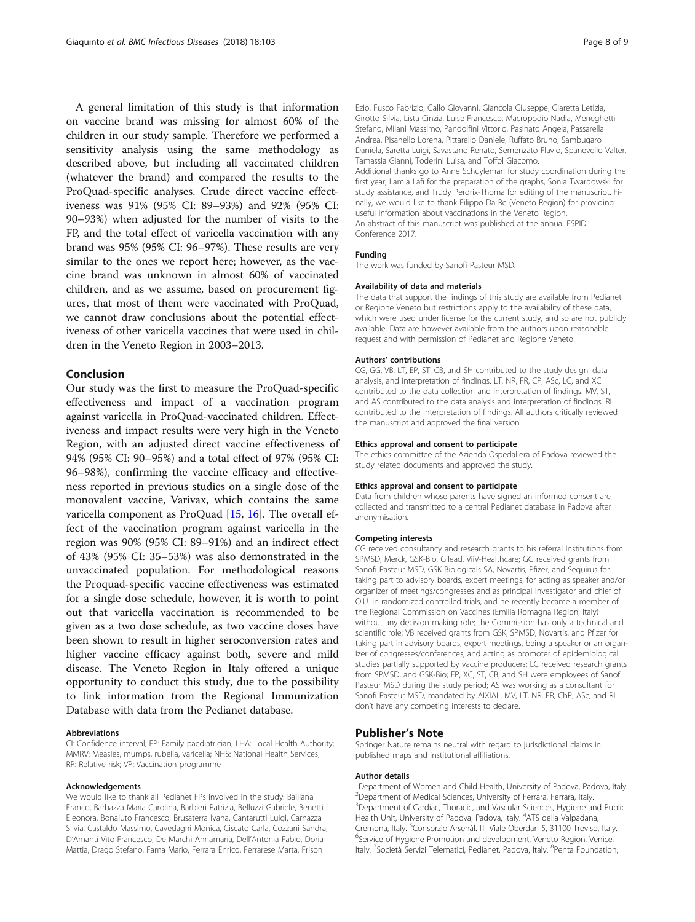A general limitation of this study is that information on vaccine brand was missing for almost 60% of the children in our study sample. Therefore we performed a sensitivity analysis using the same methodology as described above, but including all vaccinated children (whatever the brand) and compared the results to the ProQuad-specific analyses. Crude direct vaccine effectiveness was 91% (95% CI: 89–93%) and 92% (95% CI: 90–93%) when adjusted for the number of visits to the FP, and the total effect of varicella vaccination with any brand was 95% (95% CI: 96–97%). These results are very similar to the ones we report here; however, as the vaccine brand was unknown in almost 60% of vaccinated children, and as we assume, based on procurement figures, that most of them were vaccinated with ProQuad, we cannot draw conclusions about the potential effectiveness of other varicella vaccines that were used in children in the Veneto Region in 2003–2013.

#### Conclusion

Our study was the first to measure the ProQuad-specific effectiveness and impact of a vaccination program against varicella in ProQuad-vaccinated children. Effectiveness and impact results were very high in the Veneto Region, with an adjusted direct vaccine effectiveness of 94% (95% CI: 90–95%) and a total effect of 97% (95% CI: 96–98%), confirming the vaccine efficacy and effectiveness reported in previous studies on a single dose of the monovalent vaccine, Varivax, which contains the same varicella component as ProQuad [\[15,](#page-8-0) [16\]](#page-8-0). The overall effect of the vaccination program against varicella in the region was 90% (95% CI: 89–91%) and an indirect effect of 43% (95% CI: 35–53%) was also demonstrated in the unvaccinated population. For methodological reasons the Proquad-specific vaccine effectiveness was estimated for a single dose schedule, however, it is worth to point out that varicella vaccination is recommended to be given as a two dose schedule, as two vaccine doses have been shown to result in higher seroconversion rates and higher vaccine efficacy against both, severe and mild disease. The Veneto Region in Italy offered a unique opportunity to conduct this study, due to the possibility to link information from the Regional Immunization Database with data from the Pedianet database.

#### Abbreviations

CI: Confidence interval; FP: Family paediatrician; LHA: Local Health Authority; MMRV: Measles, mumps, rubella, varicella; NHS: National Health Services; RR: Relative risk; VP: Vaccination programme

#### Acknowledgements

We would like to thank all Pedianet FPs involved in the study: Balliana Franco, Barbazza Maria Carolina, Barbieri Patrizia, Belluzzi Gabriele, Benetti Eleonora, Bonaiuto Francesco, Brusaterra Ivana, Cantarutti Luigi, Carnazza Silvia, Castaldo Massimo, Cavedagni Monica, Ciscato Carla, Cozzani Sandra, D'Amanti Vito Francesco, De Marchi Annamaria, Dell'Antonia Fabio, Doria Mattia, Drago Stefano, Fama Mario, Ferrara Enrico, Ferrarese Marta, Frison

Ezio, Fusco Fabrizio, Gallo Giovanni, Giancola Giuseppe, Giaretta Letizia, Girotto Silvia, Lista Cinzia, Luise Francesco, Macropodio Nadia, Meneghetti Stefano, Milani Massimo, Pandolfini Vittorio, Pasinato Angela, Passarella Andrea, Pisanello Lorena, Pittarello Daniele, Ruffato Bruno, Sambugaro Daniela, Saretta Luigi, Savastano Renato, Semenzato Flavio, Spanevello Valter, Tamassia Gianni, Toderini Luisa, and Toffol Giacomo. Additional thanks go to Anne Schuyleman for study coordination during the first year, Lamia Lafi for the preparation of the graphs, Sonia Twardowski for study assistance, and Trudy Perdrix-Thoma for editing of the manuscript. Finally, we would like to thank Filippo Da Re (Veneto Region) for providing useful information about vaccinations in the Veneto Region. An abstract of this manuscript was published at the annual ESPID Conference 2017.

#### Funding

The work was funded by Sanofi Pasteur MSD.

#### Availability of data and materials

The data that support the findings of this study are available from Pedianet or Regione Veneto but restrictions apply to the availability of these data, which were used under license for the current study, and so are not publicly available. Data are however available from the authors upon reasonable request and with permission of Pedianet and Regione Veneto.

#### Authors' contributions

CG, GG, VB, LT, EP, ST, CB, and SH contributed to the study design, data analysis, and interpretation of findings. LT, NR, FR, CP, ASc, LC, and XC contributed to the data collection and interpretation of findings. MV, ST, and AS contributed to the data analysis and interpretation of findings. RL contributed to the interpretation of findings. All authors critically reviewed the manuscript and approved the final version.

#### Ethics approval and consent to participate

The ethics committee of the Azienda Ospedaliera of Padova reviewed the study related documents and approved the study.

#### Ethics approval and consent to participate

Data from children whose parents have signed an informed consent are collected and transmitted to a central Pedianet database in Padova after anonymisation.

#### Competing interests

CG received consultancy and research grants to his referral Institutions from SPMSD, Merck, GSK-Bio, Gilead, ViiV-Healthcare; GG received grants from Sanofi Pasteur MSD, GSK Biologicals SA, Novartis, Pfizer, and Sequirus for taking part to advisory boards, expert meetings, for acting as speaker and/or organizer of meetings/congresses and as principal investigator and chief of O.U. in randomized controlled trials, and he recently became a member of the Regional Commission on Vaccines (Emilia Romagna Region, Italy) without any decision making role; the Commission has only a technical and scientific role; VB received grants from GSK, SPMSD, Novartis, and Pfizer for taking part in advisory boards, expert meetings, being a speaker or an organizer of congresses/conferences, and acting as promoter of epidemiological studies partially supported by vaccine producers; LC received research grants from SPMSD, and GSK-Bio; EP, XC, ST, CB, and SH were employees of Sanofi Pasteur MSD during the study period; AS was working as a consultant for Sanofi Pasteur MSD, mandated by AIXIAL; MV, LT, NR, FR, ChP, ASc, and RL don't have any competing interests to declare.

#### Publisher's Note

Springer Nature remains neutral with regard to jurisdictional claims in published maps and institutional affiliations.

#### Author details

<sup>1</sup>Department of Women and Child Health, University of Padova, Padova, Italy <sup>2</sup> Department of Medical Sciences, University of Ferrara, Ferrara, Italy <sup>3</sup>Department of Cardiac, Thoracic, and Vascular Sciences, Hygiene and Public Health Unit, University of Padova, Padova, Italy. <sup>4</sup>ATS della Valpadana, Cremona, Italy. <sup>5</sup> Consorzio Arsenàl. IT, Viale Oberdan 5, 31100 Treviso, Italy.<br><sup>6</sup> Sonrice of Hygiene Premotion and development Venete Pegipp Venice. <sup>6</sup>Service of Hygiene Promotion and development, Veneto Region, Venice, Italy. <sup>7</sup>Società Servizi Telematici, Pedianet, Padova, Italy. <sup>8</sup>Penta Foundation